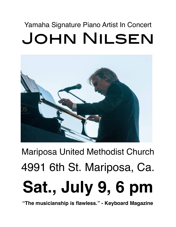## Yamaha Signature Piano Artist In Concert John Nilsen



## Mariposa United Methodist Church 4991 6th St. Mariposa, Ca. **Sat., July 9, 6 pm**

**"The musicianship is flawless." - Keyboard Magazine**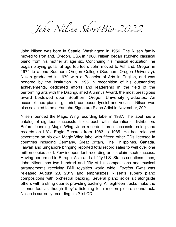John Nilsen ShortBio 2022

John Nilsen was born in Seattle, Washington in 1956. The Nilsen family moved to Portland, Oregon, USA in 1960. Nilsen began studying classical piano from his mother at age six. Continuing his musical education, he began playing guitar at age fourteen. John moved to Ashland, Oregon in 1974 to attend Southern Oregon College (Southern Oregon University). Nilsen graduated in 1979 with a Bachelor of Arts in English, and was honored by the institution in 1995 in recognition of his outstanding achievements, dedicated efforts and leadership in the field of the performing arts with the Distinguished Alumnus Award, the most prestigious award bestowed upon Southern Oregon University graduates. An accomplished pianist, guitarist, composer, lyricist and vocalist, Nilsen was also selected to be a Yamaha Signature Piano Artist in November, 2021.

Nilsen founded the Magic Wing recording label in 1987. The label has a catalog of eighteen successful titles, each with international distribution. Before founding Magic Wing, John recorded three successful solo piano records on LA's, Eagle Records from 1983 to 1985. He has released seventeen on his own Magic Wing label with fifteen other CDs licensed in countries including Germany, Great Britain, The Philippines, Canada, Taiwan and Singapore bringing reported total record sales to well over one million copies sold. Few independent recording artists claim such success. Having performed in Europe, Asia and all fifty U.S. States countless times, John Nilsen has two hundred and fifty of his compositions and musical arrangements receiving BMI royalties world wide. *Foreign Films* was released August 23, 2019 and emphasizes Nilsen's superb piano compositions with orchestral backing. Several piano solos sit alongside others with a string quartet providing backing. All eighteen tracks make the listener feel as though they're listening to a motion picture soundtrack. Nilsen is currently recording his 21st CD.